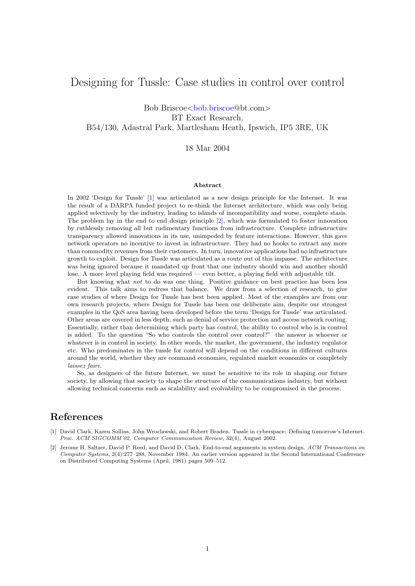## Designing for Tussle: Case studies in control over control

Bob Briscoe<br/>>[bob.briscoe@](mailto:bob.briscoe@bt.com)bt.com> BT Exact Research, B54/130, Adastral Park, Martlesham Heath, Ipswich, IP5 3RE, UK

### 18 Mar 2004

#### Abstract

In 2002 'Design for Tussle' [\[1\]](#page-0-0) was articulated as a new design principle for the Internet. It was the result of a DARPA funded project to re-think the Internet architecture, which was only being applied selectively by the industry, leading to islands of incompatibility and worse, complete stasis. The problem lay in the end to end design principle [\[2\]](#page-0-1), which was formulated to foster innovation by ruthlessly removing all but rudimentary functions from infrastructure. Complete infrastructure transparency allowed innovations in its use, unimpeded by feature interactions. However, this gave network operators no incentive to invest in infrastructure. They had no hooks to extract any more than commodity revenues from their customers. In turn, innovative applications had no infrastructure growth to exploit. Design for Tussle was articulated as a route out of this impasse. The architecture was being ignored because it mandated up front that one industry should win and another should lose. A more level playing field was required — even better, a playing field with adjustable tilt.

But knowing what not to do was one thing. Positive guidance on best practice has been less evident. This talk aims to redress that balance. We draw from a selection of research, to give case studies of where Design for Tussle has best been applied. Most of the examples are from our own research projects, where Design for Tussle has been our deliberate aim, despite our strongest examples in the QoS area having been developed before the term 'Design for Tussle' was articulated. Other areas are covered in less depth, such as denial of service protection and access network routing. Essentially, rather than determining which party has control, the ability to control who is in control is added. To the question "So who controls the control over control?" the answer is whoever or whatever is in control in society. In other words, the market, the government, the industry regulator etc. Who predominates in the tussle for control will depend on the conditions in different cultures around the world, whether they are command economies, regulated market economies or completely laissez faire.

So, as designers of the future Internet, we must be sensitive to its role in shaping our future society, by allowing that society to shape the structure of the communications industry, but without allowing technical concerns such as scalability and evolvability to be compromised in the process.

## References

- <span id="page-0-0"></span>[1] David Clark, Karen Sollins, John Wroclawski, and Robert Braden. Tussle in cyberspace: Defining tomorrow's Internet. Proc. ACM SIGCOMM'02, Computer Communication Review, 32(4), August 2002.
- <span id="page-0-1"></span>[2] Jerome H. Saltzer, David P. Reed, and David D. Clark. End-to-end arguments in system design. ACM Transactions on Computer Systems, 2(4):277–288, November 1984. An earlier version appeared in the Second International Conference on Distributed Computing Systems (April, 1981) pages 509–512.